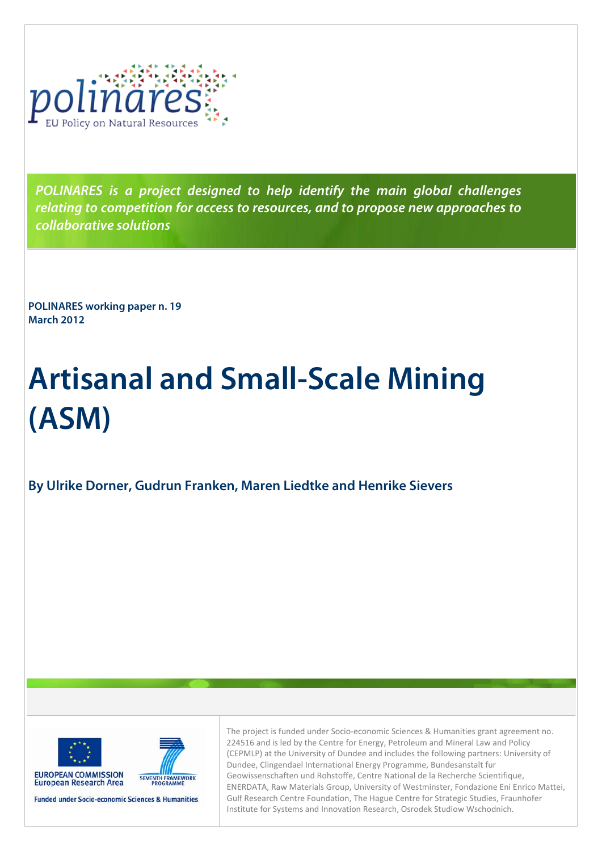

**POLINARES is a project designed to help identify the main global challenges relating to competition for access to resources, and to propose new approaches to collaborative solutions** 

**POLINARES working paper n. 19 March 2012** 

# **Artisanal and Small-Scale Mining (ASM)**

## **By Ulrike Dorner, Gudrun Franken, Maren Liedtke and Henrike Sievers**



SEVENTH FRAMEWORK

**Funded under Socio-economic Sciences & Humanities** 

The project is funded under Socio-economic Sciences & Humanities grant agreement no. 224516 and is led by the Centre for Energy, Petroleum and Mineral Law and Policy (CEPMLP) at the University of Dundee and includes the following partners: University of Dundee, Clingendael International Energy Programme, Bundesanstalt fur Geowissenschaften und Rohstoffe, Centre National de la Recherche Scientifique, ENERDATA, Raw Materials Group, University of Westminster, Fondazione Eni Enrico Mattei, Gulf Research Centre Foundation, The Hague Centre for Strategic Studies, Fraunhofer Institute for Systems and Innovation Research, Osrodek Studiow Wschodnich.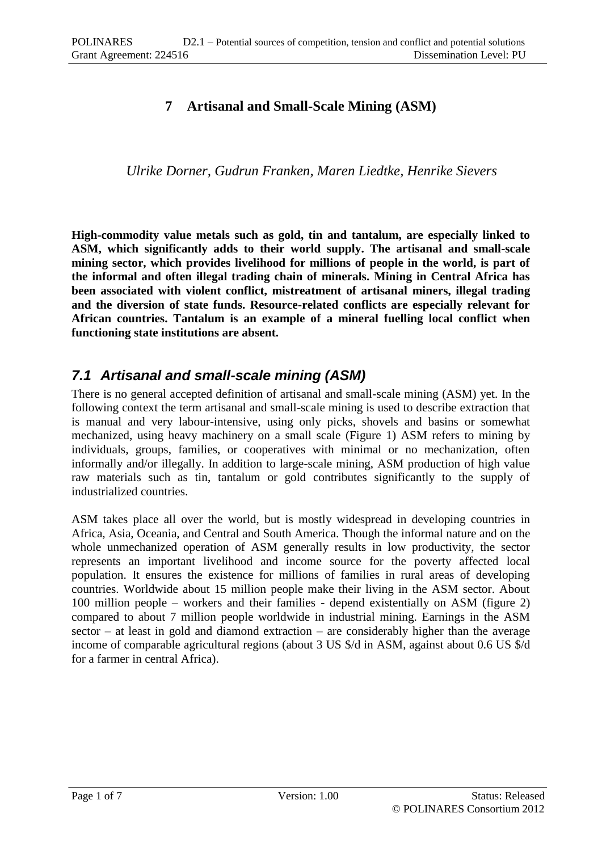## **7 Artisanal and Small-Scale Mining (ASM)**

*Ulrike Dorner, Gudrun Franken, Maren Liedtke, Henrike Sievers*

**High-commodity value metals such as gold, tin and tantalum, are especially linked to ASM, which significantly adds to their world supply. The artisanal and small-scale mining sector, which provides livelihood for millions of people in the world, is part of the informal and often illegal trading chain of minerals. Mining in Central Africa has been associated with violent conflict, mistreatment of artisanal miners, illegal trading and the diversion of state funds. Resource-related conflicts are especially relevant for African countries. Tantalum is an example of a mineral fuelling local conflict when functioning state institutions are absent.**

## *7.1 Artisanal and small-scale mining (ASM)*

There is no general accepted definition of artisanal and small-scale mining (ASM) yet. In the following context the term artisanal and small-scale mining is used to describe extraction that is manual and very labour-intensive, using only picks, shovels and basins or somewhat mechanized, using heavy machinery on a small scale (Figure 1) ASM refers to mining by individuals, groups, families, or cooperatives with minimal or no mechanization, often informally and/or illegally. In addition to large-scale mining, ASM production of high value raw materials such as tin, tantalum or gold contributes significantly to the supply of industrialized countries.

ASM takes place all over the world, but is mostly widespread in developing countries in Africa, Asia, Oceania, and Central and South America. Though the informal nature and on the whole unmechanized operation of ASM generally results in low productivity, the sector represents an important livelihood and income source for the poverty affected local population. It ensures the existence for millions of families in rural areas of developing countries. Worldwide about 15 million people make their living in the ASM sector. About 100 million people – workers and their families - depend existentially on ASM (figure 2) compared to about 7 million people worldwide in industrial mining. Earnings in the ASM  $sector - at least in gold and diamond extraction - are considerably higher than the average$ income of comparable agricultural regions (about 3 US \$/d in ASM, against about 0.6 US \$/d for a farmer in central Africa).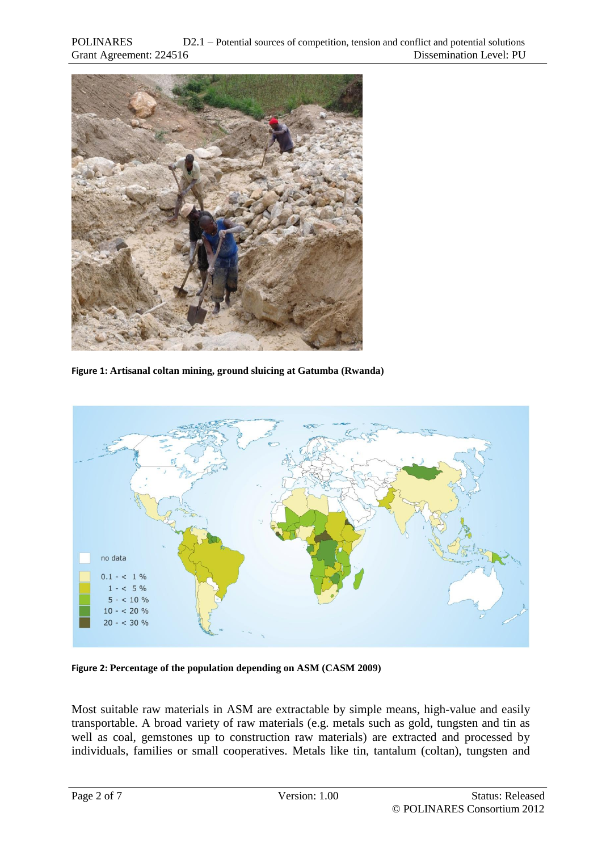

**Figure 1: Artisanal coltan mining, ground sluicing at Gatumba (Rwanda)**



**Figure 2: Percentage of the population depending on ASM (CASM 2009)**

Most suitable raw materials in ASM are extractable by simple means, high-value and easily transportable. A broad variety of raw materials (e.g. metals such as gold, tungsten and tin as well as coal, gemstones up to construction raw materials) are extracted and processed by individuals, families or small cooperatives. Metals like tin, tantalum (coltan), tungsten and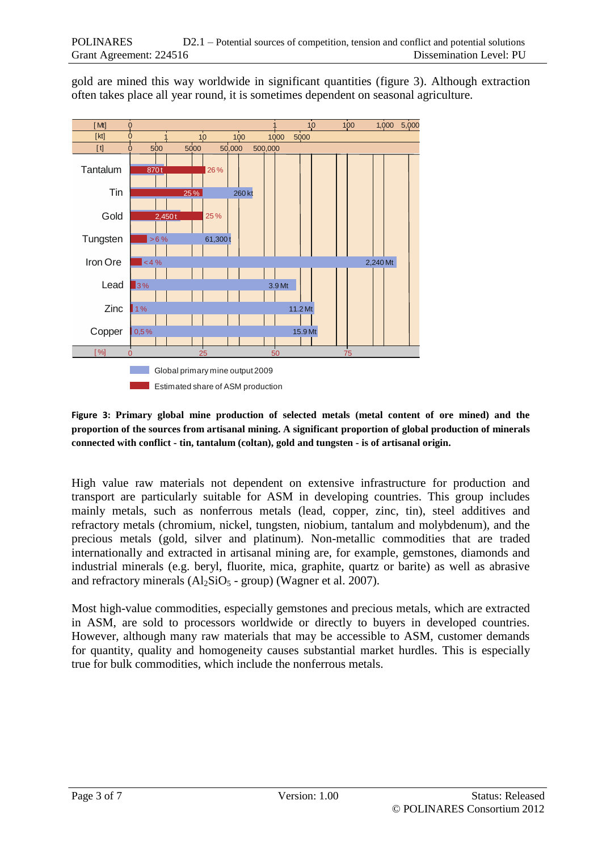gold are mined this way worldwide in significant quantities (figure 3). Although extraction often takes place all year round, it is sometimes dependent on seasonal agriculture.



### **Figure 3: Primary global mine production of selected metals (metal content of ore mined) and the proportion of the sources from artisanal mining. A significant proportion of global production of minerals connected with conflict - tin, tantalum (coltan), gold and tungsten - is of artisanal origin.**

High value raw materials not dependent on extensive infrastructure for production and transport are particularly suitable for ASM in developing countries. This group includes mainly metals, such as nonferrous metals (lead, copper, zinc, tin), steel additives and refractory metals (chromium, nickel, tungsten, niobium, tantalum and molybdenum), and the precious metals (gold, silver and platinum). Non-metallic commodities that are traded internationally and extracted in artisanal mining are, for example, gemstones, diamonds and industrial minerals (e.g. beryl, fluorite, mica, graphite, quartz or barite) as well as abrasive and refractory minerals  $(Al_2SiO_5 - group)$  (Wagner et al. 2007).

Most high-value commodities, especially gemstones and precious metals, which are extracted in ASM, are sold to processors worldwide or directly to buyers in developed countries. However, although many raw materials that may be accessible to ASM, customer demands for quantity, quality and homogeneity causes substantial market hurdles. This is especially true for bulk commodities, which include the nonferrous metals.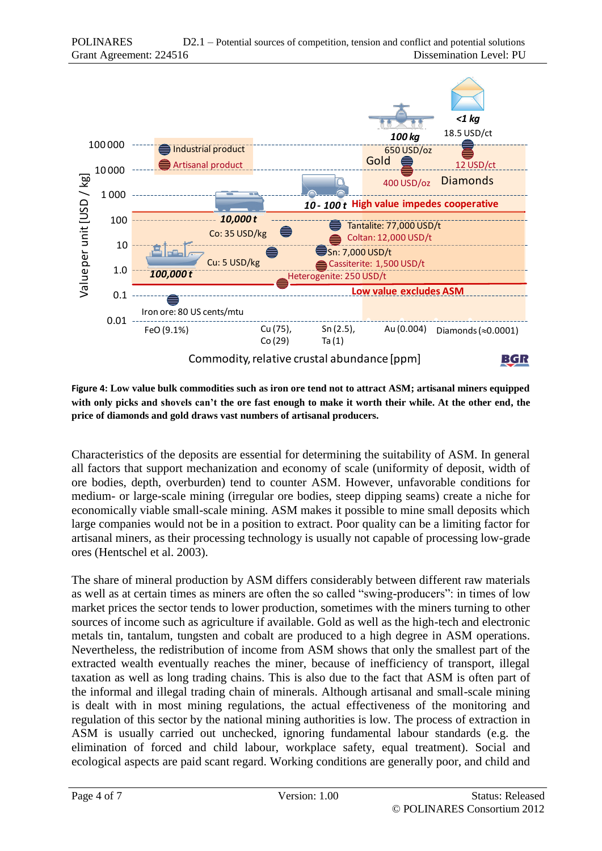

**Figure 4: Low value bulk commodities such as iron ore tend not to attract ASM; artisanal miners equipped with only picks and shovels can't the ore fast enough to make it worth their while. At the other end, the price of diamonds and gold draws vast numbers of artisanal producers.**

Characteristics of the deposits are essential for determining the suitability of ASM. In general all factors that support mechanization and economy of scale (uniformity of deposit, width of ore bodies, depth, overburden) tend to counter ASM. However, unfavorable conditions for medium- or large-scale mining (irregular ore bodies, steep dipping seams) create a niche for economically viable small-scale mining. ASM makes it possible to mine small deposits which large companies would not be in a position to extract. Poor quality can be a limiting factor for artisanal miners, as their processing technology is usually not capable of processing low-grade ores (Hentschel et al. 2003).

The share of mineral production by ASM differs considerably between different raw materials as well as at certain times as miners are often the so called "swing-producers": in times of low market prices the sector tends to lower production, sometimes with the miners turning to other sources of income such as agriculture if available. Gold as well as the high-tech and electronic metals tin, tantalum, tungsten and cobalt are produced to a high degree in ASM operations. Nevertheless, the redistribution of income from ASM shows that only the smallest part of the extracted wealth eventually reaches the miner, because of inefficiency of transport, illegal taxation as well as long trading chains. This is also due to the fact that ASM is often part of the informal and illegal trading chain of minerals. Although artisanal and small-scale mining is dealt with in most mining regulations, the actual effectiveness of the monitoring and regulation of this sector by the national mining authorities is low. The process of extraction in ASM is usually carried out unchecked, ignoring fundamental labour standards (e.g. the elimination of forced and child labour, workplace safety, equal treatment). Social and ecological aspects are paid scant regard. Working conditions are generally poor, and child and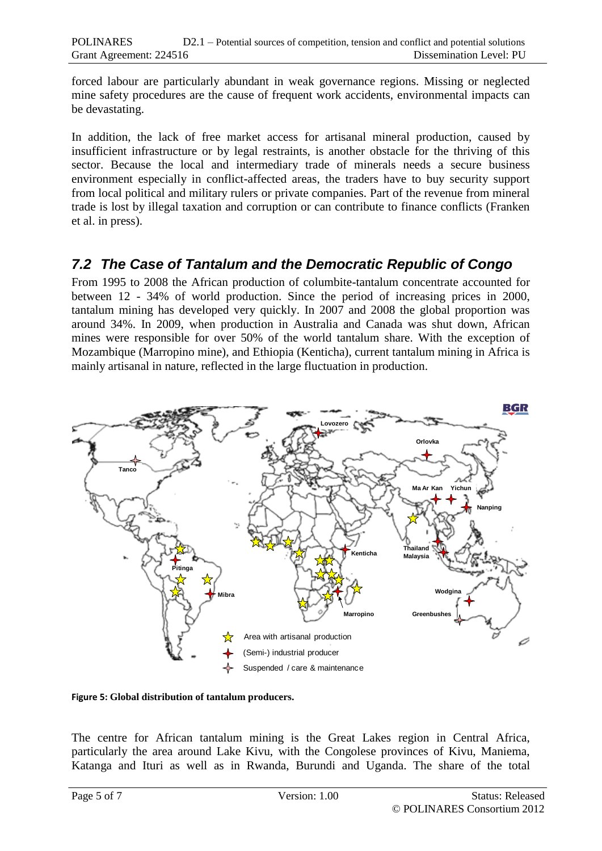forced labour are particularly abundant in weak governance regions. Missing or neglected mine safety procedures are the cause of frequent work accidents, environmental impacts can be devastating.

In addition, the lack of free market access for artisanal mineral production, caused by insufficient infrastructure or by legal restraints, is another obstacle for the thriving of this sector. Because the local and intermediary trade of minerals needs a secure business environment especially in conflict-affected areas, the traders have to buy security support from local political and military rulers or private companies. Part of the revenue from mineral trade is lost by illegal taxation and corruption or can contribute to finance conflicts (Franken et al. in press).

## *7.2 The Case of Tantalum and the Democratic Republic of Congo*

From 1995 to 2008 the African production of columbite-tantalum concentrate accounted for between 12 - 34% of world production. Since the period of increasing prices in 2000, tantalum mining has developed very quickly. In 2007 and 2008 the global proportion was around 34%. In 2009, when production in Australia and Canada was shut down, African mines were responsible for over 50% of the world tantalum share. With the exception of Mozambique (Marropino mine), and Ethiopia (Kenticha), current tantalum mining in Africa is mainly artisanal in nature, reflected in the large fluctuation in production.



**Figure 5: Global distribution of tantalum producers.**

The centre for African tantalum mining is the Great Lakes region in Central Africa, particularly the area around Lake Kivu, with the Congolese provinces of Kivu, Maniema, Katanga and Ituri as well as in Rwanda, Burundi and Uganda. The share of the total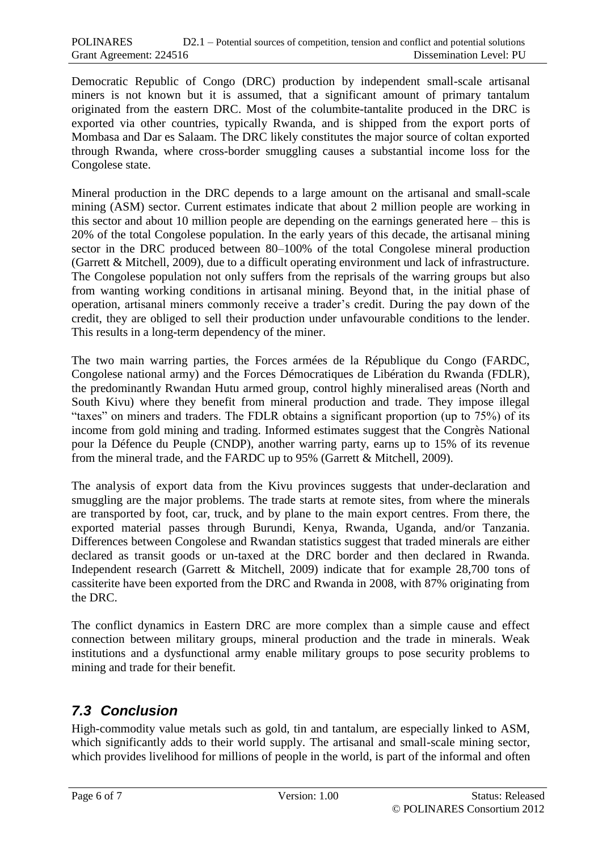Democratic Republic of Congo (DRC) production by independent small-scale artisanal miners is not known but it is assumed, that a significant amount of primary tantalum originated from the eastern DRC. Most of the columbite-tantalite produced in the DRC is exported via other countries, typically Rwanda, and is shipped from the export ports of Mombasa and Dar es Salaam. The DRC likely constitutes the major source of coltan exported through Rwanda, where cross-border smuggling causes a substantial income loss for the Congolese state.

Mineral production in the DRC depends to a large amount on the artisanal and small-scale mining (ASM) sector. Current estimates indicate that about 2 million people are working in this sector and about 10 million people are depending on the earnings generated here – this is 20% of the total Congolese population. In the early years of this decade, the artisanal mining sector in the DRC produced between 80–100% of the total Congolese mineral production (Garrett & Mitchell, 2009), due to a difficult operating environment und lack of infrastructure. The Congolese population not only suffers from the reprisals of the warring groups but also from wanting working conditions in artisanal mining. Beyond that, in the initial phase of operation, artisanal miners commonly receive a trader's credit. During the pay down of the credit, they are obliged to sell their production under unfavourable conditions to the lender. This results in a long-term dependency of the miner.

The two main warring parties, the Forces armées de la République du Congo (FARDC, Congolese national army) and the Forces Démocratiques de Libération du Rwanda (FDLR), the predominantly Rwandan Hutu armed group, control highly mineralised areas (North and South Kivu) where they benefit from mineral production and trade. They impose illegal "taxes" on miners and traders. The FDLR obtains a significant proportion (up to 75%) of its income from gold mining and trading. Informed estimates suggest that the Congrès National pour la Défence du Peuple (CNDP), another warring party, earns up to 15% of its revenue from the mineral trade, and the FARDC up to 95% (Garrett & Mitchell, 2009).

The analysis of export data from the Kivu provinces suggests that under-declaration and smuggling are the major problems. The trade starts at remote sites, from where the minerals are transported by foot, car, truck, and by plane to the main export centres. From there, the exported material passes through Burundi, Kenya, Rwanda, Uganda, and/or Tanzania. Differences between Congolese and Rwandan statistics suggest that traded minerals are either declared as transit goods or un-taxed at the DRC border and then declared in Rwanda. Independent research (Garrett & Mitchell, 2009) indicate that for example 28,700 tons of cassiterite have been exported from the DRC and Rwanda in 2008, with 87% originating from the DRC.

The conflict dynamics in Eastern DRC are more complex than a simple cause and effect connection between military groups, mineral production and the trade in minerals. Weak institutions and a dysfunctional army enable military groups to pose security problems to mining and trade for their benefit.

## *7.3 Conclusion*

High-commodity value metals such as gold, tin and tantalum, are especially linked to ASM, which significantly adds to their world supply. The artisanal and small-scale mining sector, which provides livelihood for millions of people in the world, is part of the informal and often